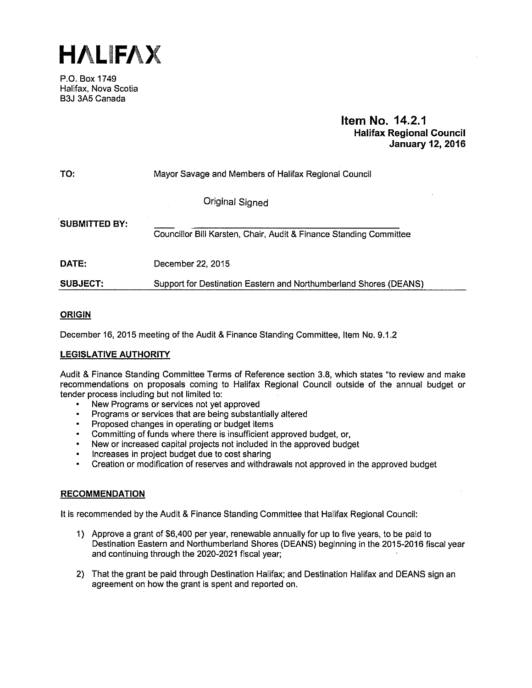HALiFAX

P.O. Box 1749 Halifax, Nova Scotia B3J 3A5 Canada

### Item No. 14.2.1 Halifax Regional Council January 12, 2016

| TO:                  | Mayor Savage and Members of Halifax Regional Council               |
|----------------------|--------------------------------------------------------------------|
|                      | <b>Original Signed</b>                                             |
| <b>SUBMITTED BY:</b> | Councillor Bill Karsten, Chair, Audit & Finance Standing Committee |
| <b>DATE:</b>         | December 22, 2015                                                  |
| <b>SUBJECT:</b>      | Support for Destination Eastern and Northumberland Shores (DEANS)  |

#### **ORIGIN**

December 16, 2015 meeting of the Audit & Finance Standing Committee, Item No.9.1.2

### LEGISLATIVE AUTHORITY

Audit & Finance Standing Committee Terms of Reference section 3.8, which states "to review and make recommendations on proposals coming to Halifax Regional Council outside of the annual budget or tender process including but not limited to:

- New Programs or services not yet approved
- Programs or services that are being substantially altered
- Proposed changes in operating or budget items
- Committing of funds where there is insufficient approved budget, or,
- New or increased capital projects not included in the approved budget
- Increases in project budget due to cost sharing
- Creation or modification of reserves and withdrawals not approved in the approved budget

#### **RECOMMENDATION**

It is recommended by the Audit & Finance Standing Committee that Halifax Regional Council:

- 1) Approve a grant of \$6,400 per year, renewable annually for up to five years, to be paid to Destination Eastern and Northumberland Shores (DEANS) beginning in the 2015-2016 fiscal year and continuing through the 2020-2021 fiscal year;
- 2) That the grant be paid through Destination Halifax; and Destination Halifax and DEANS sign an agreement on how the grant is spent and reported on.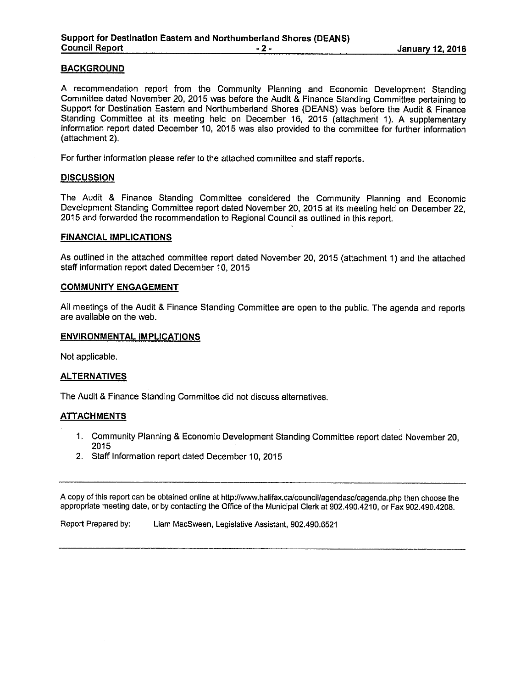A recommendation report from the Community Planning and Economic Development Standing Committee dated November 20, 2015 was before the Audit & Finance Standing Committee pertaining to Support for Destination Eastern and Northumberland Shores (DEANS) was before the Audit & Finance Standing Committee at its meeting held on December 16, 2015 (attachment 1). A supplementary information report dated December 10, 2015 was also provided to the committee for further information (attachment 2).

For further information please refer to the attached committee and staff reports.

#### **DISCUSSION**

The Audit & Finance Standing Committee considered the Community Planning and Economic Development Standing Committee report dated November 20, 2015 at its meeting held on December 22, 2015 and forwarded the recommendation to Regional Council as outlined in this report.

#### FINANCIAL IMPLICATIONS

As outlined in the attached committee report dated November 20, 2015 (attachment 1) and the attached staff information report dated December 10, 2015

#### COMMUNITY ENGAGEMENT

All meetings of the Audit & Finance Standing Committee are open to the public. The agenda and reports are available on the web.

#### ENVIRONMENTAL IMPLICATIONS

Not applicable.

#### ALTERNATIVES

The Audit & Finance Standing Committee did not discuss alternatives.

#### **ATTACHMENTS**

- 1. Community Planning & Economic Development Standing Committee report dated November 20, 2015
- 2. Staff Information report dated December 10, 2015

A copy of this report can be obtained online at http://www.halifax.ca/council/agendasc/cagenda.php then choose the appropriate meeting date, or by contacting the Office of the Municipal Clerk at 902.490.4210, or Fax 902.490.4208.

Report Prepared by: Liam MacSween, Legislative Assistant, 902.490.6521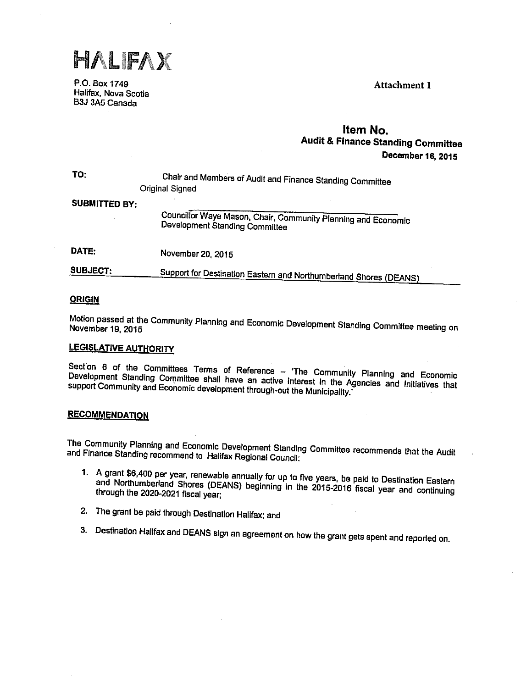HALFAX

P.O. Box 1749 Attachment 1 Halifax, Nova Scotia 83J 3A5 Canada

### Item No. Audit & Finance Standing Committee December 16, 2015

| TO:           | Chair and Members of Audit and Finance Standing Committee<br><b>Original Signed</b>                    |
|---------------|--------------------------------------------------------------------------------------------------------|
| SUBMITTED BY: |                                                                                                        |
|               | Councillor Waye Mason, Chair, Community Planning and Economic<br><b>Development Standing Committee</b> |
| DATE:         | November 20, 2015                                                                                      |
| CIID 160%.    |                                                                                                        |

# SUBJECT: Support for Destination Eastern and Northumberland Shores (DEANS)

#### **ORIGIN**

Motion November passed at the Community Planning and Economic Development Standing Committee meeting on November 19, 2015

### LEGISLATIVE AUTHORITY

Development Standing Committee shall have an active interest in the Agencies and Initiatives that<br>support Community and Economic development through-out the Municipality.' SectIon 6 of the Committees Terms of Reference — 'The Community Planning and Economic support Community and Economic development through-out the Municipality.

#### **RECOMMENDATION**

The and Finance Community Planning and Economic Development Standing Committee recommends that the Audit<br><sup>Finance Standing recommend to Halifax Regional Council:</sup> and Finance Standing recommend to Halifax Regional Council:

- 1. A and grant \$6,400 per year, renewable annually for up to five years, be paid to Destination Eastern Northumberland Shores (DEANS) beginning in the 2015-2016 fiscal year and continuing<br>gh the 2020-2021 fiscal year; through the 2020-2021 fiscal year;
- 2. The grant be paid through Destination Halifax; and
- 3. Destination Halifax and DEANS sign an agreement on how the grant gets spent and reported on.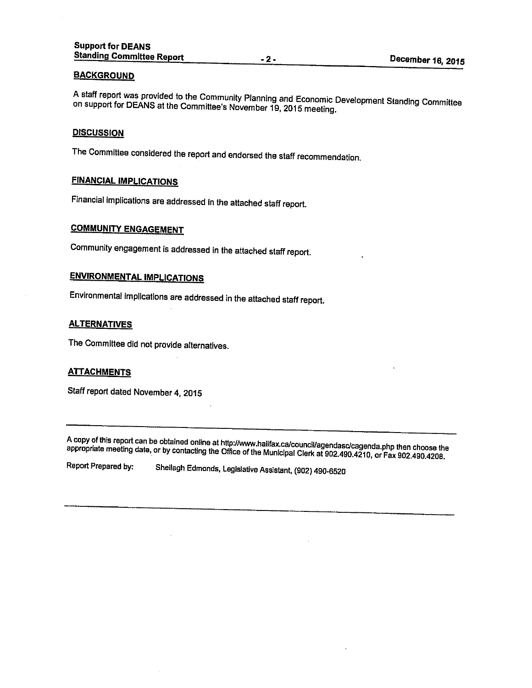A A staff report was provided to the Community Planning and Economic Development Standing Committee<br>on support for DEANS at the Committor's Nauguska 19,0915 on support for DEANS at the Committee's November 19, 2015 meeting.

#### **DISCUSSION**

The Committee considered the report and endorsed the staff recommendation.

### FINANCIAL IMPLICATIONS

Financial implications are addressed in the attached staff report.

### COMMUNITY ENGAGEMENT

Community engagement is addressed in the attached staff report.

### ENVIRONMENTAL IMPLICATIONS

Environmental Implications are addressed In the attached staff report.

#### **ALTERNATIVES**

The Committee did not provide alternatives.

#### **ATTACHMENTS**

Staff report dated November 4, <sup>2015</sup>

A copy of this report can be obtained online at http://www.halifax.ca/council/agendasc/cagenda.php then choose the<br>appropriate meeting date, or by contacting the Office of the Municipal Clerk at 902.490.4210, or Fax 902.49

Report Prepared by: Shellagh Edmonds, Legislative Assistant, (902) 490-6520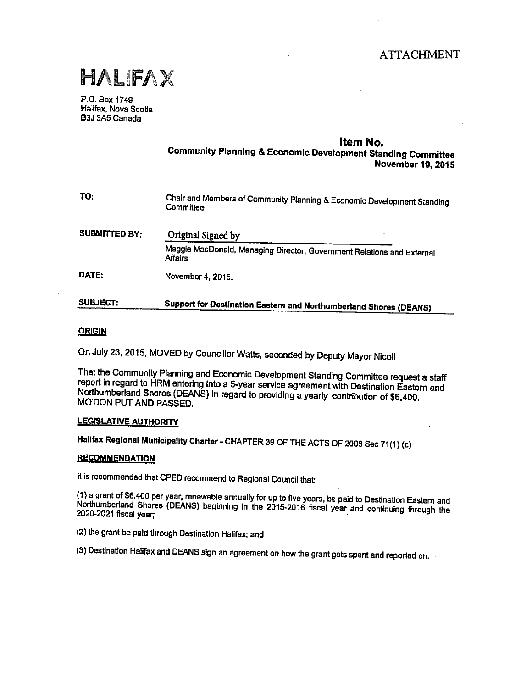## **ATTACHMENT**



P.O. Box 1749 Halifax, Nova Scotia B3J 3A5 Canada

#### Item No.

Community Planning & Economic Development Standing Committee November19, 2015

| TO:                  | Chair and Members of Community Planning & Economic Development Standing<br>Committee     |
|----------------------|------------------------------------------------------------------------------------------|
| <b>SUBMITTED BY:</b> | Original Signed by                                                                       |
|                      | Maggie MacDonald, Managing Director, Government Relations and External<br><b>Affairs</b> |
| DATE:                | November 4, 2015.                                                                        |
| <b>SUBJECT:</b>      | Support for Destination Eastern and Northumberland Shores (DEANS)                        |

#### **ORIGIN**

On July 23, 2015, MOVED by Councilior Wafts, seconded by Deputy Mayor Nicoll

That the Community Planning and Economic Development Standing Committee request <sup>a</sup> staff report in regard to HRM entering into a 5-year service agreement with Destination Eastern and Northumberland Shores (DEANS) In regard to providing <sup>a</sup> yearly contribution of \$6,400. MOTION PUT AND PASSED.

#### LEGISLATIVE AUTHORITY

Halifax Regional Municipality Charter. CHAPTER <sup>39</sup> OF THE ACTS OF <sup>2008</sup> Sec 71(1) (c)

#### RECOMMENDATION

It is recommended that CPED recommend to Regional Council that

(1) <sup>a</sup> grant of \$6,400 per year, renewable annually for up to five years, be paid to Destination Eastern and Northumberland Shores (DEANS) beginning in the 2015-2016 fiscal year and continuing through the 2020-2021 fiscal year;

(2) the grant be paid through Destination Halifax; and

(3) Destination Halifax and DEANS sign an agreement on how the grant gets spent and reported on.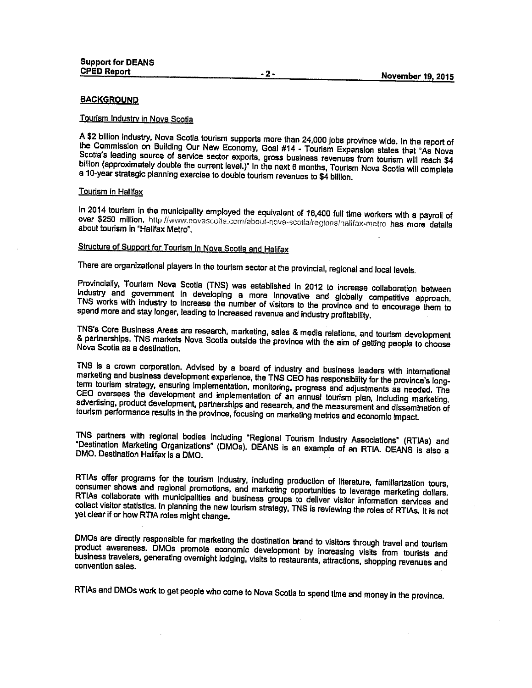#### Tourism Industry in Nova Scotia

<sup>A</sup> \$2 billion industry, Nova Scotia tourism supports more than 24,000 jobs province wide. In the report of the Commission on Building Our New Economy, Goal #14 - Tourism Expansion states that 'As Nova Scotia's leading source of service sector exports, gross business revenues from tourism will reach \$4 billion (approximately double the current level.)" In the next 6 months, Tourism Nova Scotia will complete <sup>a</sup> 10-year strategic <sup>p</sup>lanning exercise to double tourism revenues to \$4 billion.

#### Tourism in Halifax

In 2014 tourism in the municipality employed the equivalent of 16,400 full time workers with a payroll of over \$250 million. http://www.novascotia.com/about-nova-scotia/regions/halifax-metro has more details about tourism in 'Halifax Metro'.

### Structure of Support for Tourism in Nova Scotia and Halifax

There are organizational players in the tourism sector at the provincial, regional and local levels.

Provincially, Tourism Nova Scotia (TNS) was established in 2012 to increase collaboration between Industry and government in developing <sup>a</sup> more innovative and <sup>g</sup>lobally competitive approach. TNS works with industry to increase the number of visitors to the province and to encourage them to spend more and stay longer, leading to increased revenue and industry profitability.

TNS's Core Business Areas are research, marketing, sales & media relations, and tourism development & partnerships. TNS markets Nova Scotia outside the province with the aim of getting people to choose Nova Scotia as <sup>a</sup> destination.

TNS is <sup>a</sup> crown corporation. Advised by <sup>a</sup> board of industry and business leaders with international marketing and business development experience, the TNS CEO has responsibility for the province's longterm tourism strategy, ensuring Implementation, monitoring, progress and adjustments as needed. The CEO oversees the development and implementation of an annual tourism <sup>p</sup>lan, including marketing, advertising, product development, partnerships and research, and the measurement and dissemination of tourism performance results in the province, focusing on marketing metrics and economic impact.

TNS partners with regional bodies including "Regional Tourism Industry Associations" (RTIAs) and DM0. Destination Halifax is <sup>a</sup> DM0. 'Destination Marketing Organizations' (DMOs). DEANS is an example of an RTIA. DEANS is also <sup>a</sup>

RTIAs offer programs for the tourism Industry, including production of literature, familiarization tours, consumer shows and regional promotions, and marketing opportunities to leverage marketing dollars. RTIAs collaborate with municipalities and business groups to deliver visitor information services and collect visitor statistics. In planning the new tourism strategy, TNS is reviewing the roles of RTIAs. It is not yet clear if or how RTIA roles might change.

product awareness, DMOs promote economic development by increasing visits from tourists and DMOs are directly responsible for marketing the destination brand to visitors through travel and tourism business travelers, generating overnight lodging, visits to restaurants, attractions, shopping revenues and convention sales.

RTIAs and DMOs work to get people who come to Nova Scotia to spend time and money in the province.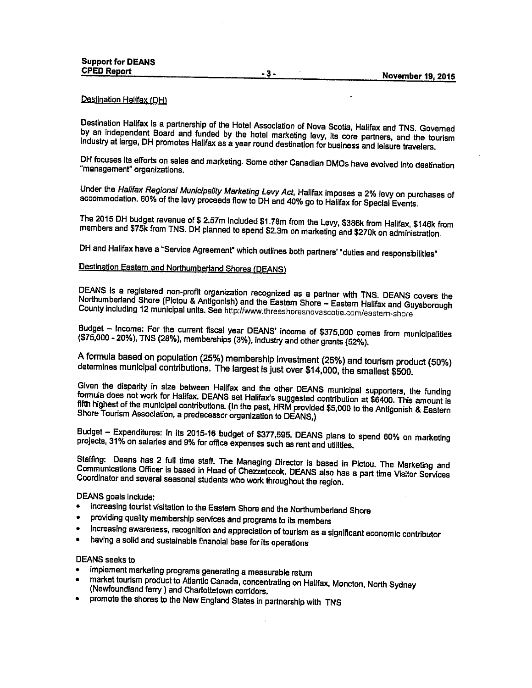#### Destination Hallfax (DH)

Destination Halifax Is <sup>a</sup> partnership of the Hotel Association of Nova Scotia, Halifax and TNS. Governed by an Independent Board and funded by the hotel marketing levy, Its core partners, and the tourism industry at large, DH promotes Halifax as <sup>a</sup> year round destination for business and leisure travelers.

DH focuses its efforts on sales and marketing. Some other Canadian DMOs have evolved into destination "management" organizations.

Under the Halifax Regional Municipality Marketing Levy Act, Halifax imposes <sup>a</sup> 2% levy on purchases of accommodation. 60% of the levy proceeds flow to DII and 40% go to Halifax for Special Events.

The <sup>2015</sup> OH budget revenue of \$ 2.57m included \$1 .76m from the Levy, \$386k from Halifax, 5146k from members and \$75k from TNS. DH planned to spend \$2.3m on marketing and \$270k on administration

DH and Halifax have <sup>a</sup> "Service Agreement" which outlines both partners' "duties and responsibilities"

### Destination Eastern and Northumberland Shores (DEANS

Northumberland Shore (Pictou & Antigonish) and the Eastern Shore – Eastern Halifax and Guysborough DEANS is a registered non-profit organization recognized as a partner with TNS. DEANS covers the County including 12 municipal units. See http://www.threeshoresnovascotia.com/eastern-shore

Budget — Income: For the currant fiscal year DEANS' income of \$375,000 comes from municipalities (\$75,000 - 20%), TNS (28%), memberships (3%), industry and other grants (52%).

<sup>A</sup> formula based on population (25%) membership Investment (25%) and tourism product (50%) determines municipal contributions. The largest Is just over \$14,000, the smallest \$500.

Given the disparity in size between Halifax and the other DEANS municipal supporters, the funding formula does not work for Halifax. DEANS sat Halifax's suggested contribution at \$6400. This amount is fifth highest of the municipal contributions. (in the past, HRM provided \$5,000 to the Antigonish & Eastern Shore Tourism Association, <sup>a</sup> predecessor organization to DEANS,)

Budget — Expenditures: In Its 2015-16 budget of \$377,595. DEANS <sup>p</sup>lans to spend 60% on marketing projects, 31% on salaries and 9% for office expenses such as rent and utilities.

Communications Officer is based in Head of Chenetcook. DEANS also has <sup>a</sup> part time Visitor Services Staffing: Deans has 2 full time staff. The Managing Director is based in Pictou. The Marketing and Coordinator and several seasonal students who work throughout the region.

#### DEANS goals include:

- •Increasing tourist visitation to the Eastern Shore and the Northumberland Shore
- •providing quality membership services and programs to its members
- •Increasing awareness, recognition and appreciation of tourism as <sup>a</sup> significant economic contributor
- having <sup>a</sup> solid and sustainable financial base for Its operations

#### DEANS seeks to

- •implement marketing programs generating <sup>a</sup> measurable return
- market tourism product to Atlantic Canada, concentrating on Halifax, Moncton, North Sydney (Newfoundland ferry ) and Charlottetown corridors.
- promote the shores to the New England States in partnership with TNS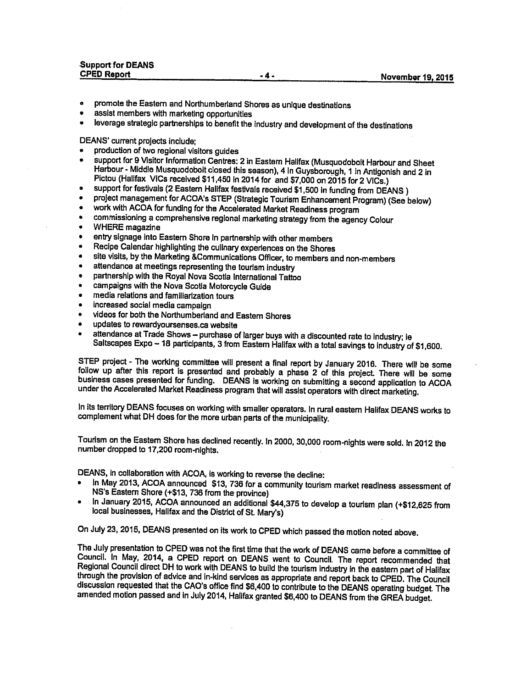| <b>Support for DEANS</b> |     |                          |
|--------------------------|-----|--------------------------|
| <b>CPED Report</b>       | -4- | <b>November 19, 2015</b> |
|                          |     |                          |

- •promote the Eastern and Northumberland Shores as unique destinations
- assist members with marketing opportunities
- leverage strategic partnerships to benefit the industry and development of the destinations

DEANS' current projects include;

- •production of two regional visitors guides
- •support for 9 Visitor Information Centres: 2 in Eastern Halifax (Musquodoboit Harbour and Sheet Harbour - Middle Musquodoboit closed this season), <sup>4</sup> in Guysborough, <sup>I</sup> in Antigonish and <sup>2</sup> in Pictou (Halifax VICs received \$11,450 in 2014 for and \$7,000 on 2015 for 2 VICs.)
- •support for festivals (2 Eastern Halifax festivals received \$1,500 in funding from DEANS)
- •project management for ACOA's STEP (Strategic Tourism Enhancement Program) (See below)
- •work with ACOA for funding for the Accelerated Market Readiness program
- •commissioning <sup>a</sup> comprehensive regional marketing strategy from the agency Colour
- •WHERE magazine
- entry signage into Eastern Shore in partnership with other members
- •Recipe Calendar highlighting the culinary experiences on the Shores
- •site visits, by the Marketing &Communications Officer, to members and non-members
- •attendance at meetings representing the tourism Industry
- •partnership with the Royal Nova Scotia International Tattoo
- •campaigns with the Nova Scotia Motorcycle Guide
- •media relations and familiarization tours
- •increased social media campaign
- videos for both the Northumberland and Eastern Shores
- •updates to rewardyoursenses.ca website
- •attendance at Trade Shows - purchase of larger buys with a discounted rate to industry; ie Saltscapes Expo - 18 participants, 3 from Eastern Halifax with a total savings to industry of \$1,600.

STEP project - The working committee will present <sup>a</sup> final report by January 2016. There will be some follow up after this report is presented and probably a phase 2 of this project. There will be some business cases presented for funding. DEANS is working on submitting <sup>a</sup> second application to ACOA under the Accelerated Market Readiness program that will assist operators with direct marketing.

In its territory DEANS focuses on working with smaller operators. In rural eastern Halifax DEANS works to complement what DH does for the more urban parts of the municipality.

Tourism on the Eastern Shore has declined recently. In 2000, 30,000 room-nights were sold. In <sup>2012</sup> the number dropped to 17,200 room-nIghts.

DEANS, in collaboration with ACOA, Is working to reverse the decline:

- •In May 2013, ACOA announced \$13, 736 for a community tourism market readiness assessment of NS's Eastern Shore (+\$13, <sup>736</sup> from the province)
- in January 2015, ACOA announced an additional \$44,375 to develop <sup>a</sup> tourism <sup>p</sup>lan (412,625 from local businesses, Halifax and the District of St. Mary's)

On July 23, 2015, DEANS presented on its work to CPED which passed the motion noted above.

The July presentation to CPED was not the first time that the work of DEANS came before a committee of Council. In May, 2014, <sup>a</sup> CPED report on DEANS went to Council. The report recommended that Regional Council direct DH to work with DEANS to build the tourism industry in the eastern part of Halifax through the provision of advice and in-kind services as appropriate and report back to CPED. The Council discussion requested that the CAO's office find \$6,400 to contribute to the DEANS operating budget The amended motion passed and in July 2014, Halifax granted \$6,400 to DEANS from the GREA budget.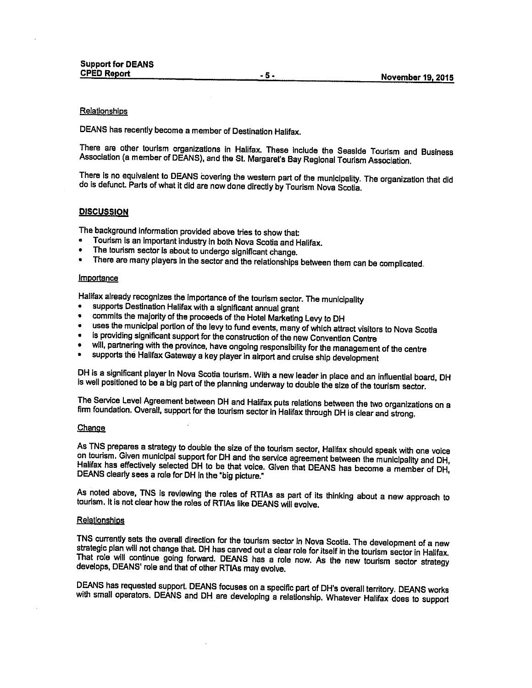#### **Relationships**

DEANS has recently become <sup>a</sup> member of Destination Halifax.

There are other tourism organizations in Halifax. These include the Seaside Tourism and Business<br>Association (a member of DEANS), and the St. Margaret's Bay Regional Tourism Association.

There is no equivalent to DEANS covering the western part of the municipality. The organization that did do is defunct. Parts of what it did are now done directly by Tourism Nova Scotia.

#### **DISCUSSION**

The background information provided above tries to show that:

- •Tourism Is an important industry In both Nova Scotia and Halifax.
- •The tourism sector is about to undergo significant change.
- There are many players in the sector and the relationships between them can be complicated.

#### **Importance**

Halifax already recognizes the importance of the tourism sector. The municipality

- •supports Destination Halifax with <sup>a</sup> significant annual grant
- •commits the majority of the proceeds of the Hotel Marketing Levy to OH
- •uses the municipal portion of the levy to fund events, many of which attract visitors to Nova Scotia
- •is providing significant support for the construction of the new Convention Centre
- •will, partnering with the province, have ongoing responsibility for the management of the centre
- supports the Halifax Gateway <sup>a</sup> key <sup>p</sup>layer in airport and cruise ship development

DH is <sup>a</sup> significant <sup>p</sup>layer in Nova Scotia tourism. With <sup>a</sup> new leader in <sup>p</sup>lace and an influential board, OH is well positioned to be <sup>a</sup> big part of the <sup>p</sup>lanning underway to double the size of the tourism sector.

The Service Level Agreement between DH and Halifax puts relations between the two organizations on <sup>a</sup> firm foundation. Overall, support for the tourism sector in Halifax through DH is clear and strong.

#### **Change**

As TNS prepares a strategy to double the size of the tourism sector, Halifax should speak with one voice<br>on tourism. Given municipal support for DH and the service agreement between the municipality and DH, Halifax has effectively selected DH to be that voice. Given that DEANS has become a member of DH, DEANS clearly sees a role for DH in the "big picture."

As noted above, TNS is reviewing the roles of RTIAs as part of its thinking about a new approach to tourism. It is not clear how the roles of RTIAs like DEANS will evolve.

#### Relationshios

TNS currently sets the overall direction for the tourism sector in Nova Scotia. The development of a new strategic plan will not change that. DH has carved out a clear role for itself in the tourism sector in Halifax. That role will continue going forward. DEANS has a role now. As the new tourism sector strategy develops, DEANS' role and that of other RTIAs may evolve.

DEANS has requested support. DEANS focuses on a specific part of DH's overall territory. DEANS works<br>with small operators. DEANS and DH are developing a relationship. Whatever Halifax does to support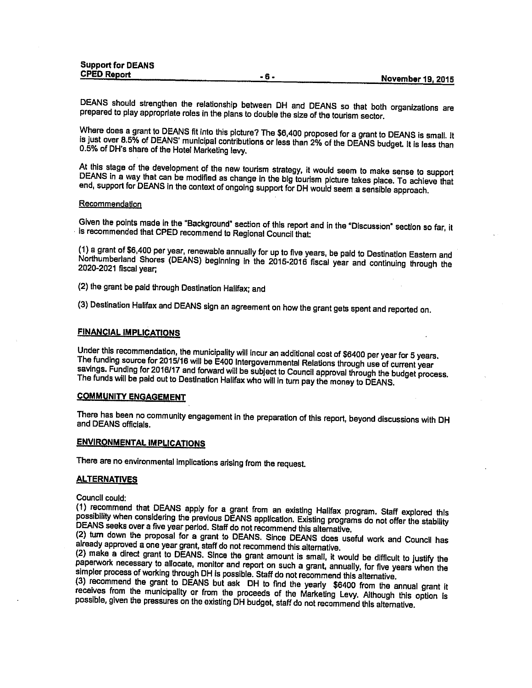| Support for DEANS  |       |                          |
|--------------------|-------|--------------------------|
| <b>CPED Report</b> | - n - |                          |
|                    |       | <b>November 19, 2015</b> |

DEANS should strengthen the relationship between OH and OEANS so that both organizations are prepared to <sup>p</sup>lay appropriate roles in the <sup>p</sup>lans to double the size of the tourism sector.

Where does <sup>a</sup> grant to DEANS fit into this <sup>p</sup>icture? The \$6,400 proposed for <sup>a</sup> grant to DEANS is small. It is Just over 8.5% of DEANS' municipal contributions or less than 2% of the DEANS budget It is less than 0.5% of DH's share of the Hotel Marketing levy.

At this stage of the development of the new tourism strategy, it would seem to make sense to support DEANS in <sup>a</sup> way that can be modified as change in the big tourism <sup>p</sup>icture takes <sup>p</sup>lace. To achieve that end, support for DEANS in the context of ongoing support for OH would seem <sup>a</sup> sensible approach.

#### **Recommendation**

Given the points made in the "Background" section of this report and in the "Discussion" section so far, it Is recommended that CPED recommend to Regional Council that

(1) <sup>a</sup> grant of \$6,400 per year, renewable annually for up to five years, be paid to Destination Eastern and Northumberland Shores (DEANS) beginning in the 2015-2016 fiscal year and continuing through the 2020-2021 fiscal year;

(2) the grant be paid through Destination Halifax; and

(3) Destination Halifax and DEANS sign an agreement on how the grant gets spent and reported on.

#### FINANCIAL IMPLICATIONS

Under this recommendation, the municipality will incur an additional cost of \$6400 per year for <sup>5</sup> years. The funding source for 2015/16 will be E400 Intergovernmental Relations through use of current year savings. Funding for 2016/17 and forward will be subject to Council approval through the budget process. The funds will be paid out to Destination Halifax who will in turn pay the money to DEANS.

#### COMMUNITY ENGAGEMENT

There has been no community engagement in the preparation of this report, beyond discussions with DH and DEANS officials.

#### ENVIRONMENTAL IMPLICATIONS

There are no environmental implications arising from the request

#### ALTERNATIVES

Council could:

(1) recommend that DEANS apply for <sup>a</sup> grant from an existing Halifax program. Staff explored this possibility when considering the previous DEANS application. Existing programs do not offer the stability DEANS seeks over <sup>a</sup> five year period. Staff do not recommend this alternative.

(2) turn down the proposal for <sup>a</sup> grant to DEANS. Since DEANS does useful work and Council has already approved <sup>a</sup> one year grant, staff do not recommend this alternative.

(2) make <sup>a</sup> direct grant to DEANS. Since the grant amount is small, it would be difficult to justify the paperwork necessary to allocate, monitor and report on such <sup>a</sup> grant, annually, for five years when the simpler process of working through DH is possible. Staff do not recommend this alternative.<br>(3) recommend the grant to DEANS but ask DH to find the yearly \$6400 from the annual grant it

receives from the municipality or from the proceeds of the Marketing Levy. Although this option is possible, given the pressures on the existing DH budget, staff do not recommend this alternative.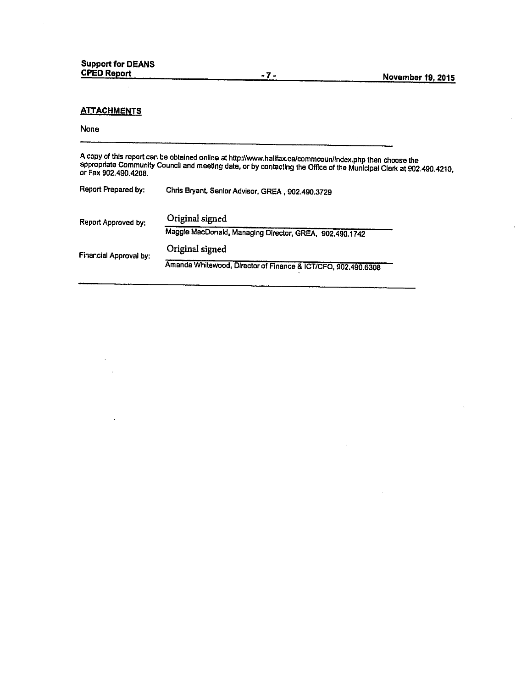$\epsilon$ 

### **ATTACHMENTS**

 $\ddot{\phantom{1}}$ 

#### None

A copy of this report can be obtained online at http://www.halifax.ca/commcoun/index.php then choose the<br>appropriate Community Council and meeting date, or by contacting the Office of the Municipal Clerk at 902.490.4210,<br>o

| Report Prepared by:    | Chris Bryant, Senior Advisor, GREA, 902.490.3729              |
|------------------------|---------------------------------------------------------------|
| Report Approved by:    | Original signed                                               |
|                        | Maggie MacDonald, Managing Director, GREA, 902.490.1742       |
| Financial Approval by: | Original signed                                               |
|                        | Amanda Whitewood, Director of Finance & ICT/CFO, 902.490.6308 |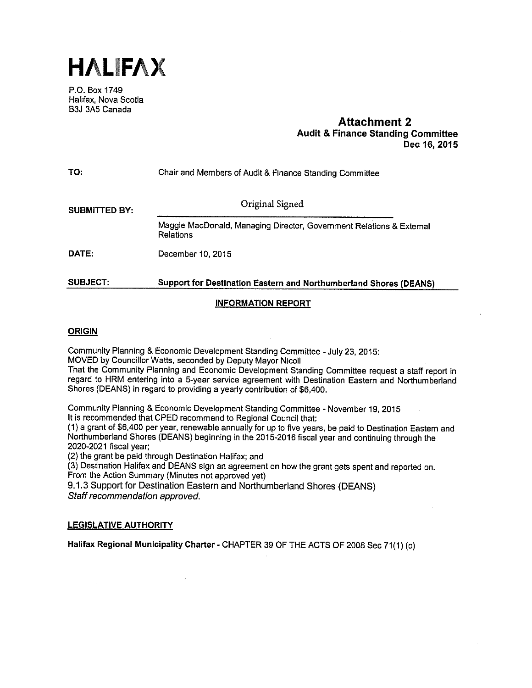

P.O. Box 1749 Halifax, Nova Scotia B3J 3A5 Canada

### Aftachment 2 Audit & Finance Standing Committee Dec 16, 2015

| TO:                  | Chair and Members of Audit & Finance Standing Committee                           |  |  |
|----------------------|-----------------------------------------------------------------------------------|--|--|
| <b>SUBMITTED BY:</b> | Original Signed                                                                   |  |  |
|                      | Maggie MacDonald, Managing Director, Government Relations & External<br>Relations |  |  |
| DATE:                | December 10, 2015                                                                 |  |  |
| <b>SUBJECT:</b>      | <b>Support for Destination Eastern and Northumberland Shores (DEANS)</b>          |  |  |

# INFORMATION REPORT

# **ORIGIN**

Community Planning & Economic Development Standing Committee -July 23, 2015:

MOVED by Councillor Watts, seconded by Deputy Mayor Nicoll

That the Community Planning and Economic Development Standing Committee request a staff report in regard to HRM entering into a 5-year service agreement with Destination Eastern and Northumberland Shores (DEANS) in regard to providing a yearly contribution of \$6,400.

Community Planning & Economic Development Standing Committee - November 19, 2015 It is recommended that CPED recommend to Regional Council that:

(1) a grant of \$6,400 per year, renewable annually for up to five years, be paid to Destination Eastern and Northumberland Shores (DEANS) beginning in the 2015-2016 fiscal year and continuing through the 2020-2021 fiscal year;

(2) the grant be paid through Destination Halifax; and

(3) Destination Halifax and DEANS sign an agreement on how the grant gets spent and reported on. From the Action Summary (Minutes not approved yet)

9.1.3 Support for Destination Eastern and Northurnberland Shores (DEANS) Staff recommendation approved.

#### LEGISLATIVE AUTHORITY

Halifax Regional Municipality Charter - CHAPTER 39 OF THE ACTS OF 2008 Sec 71(1) (c)